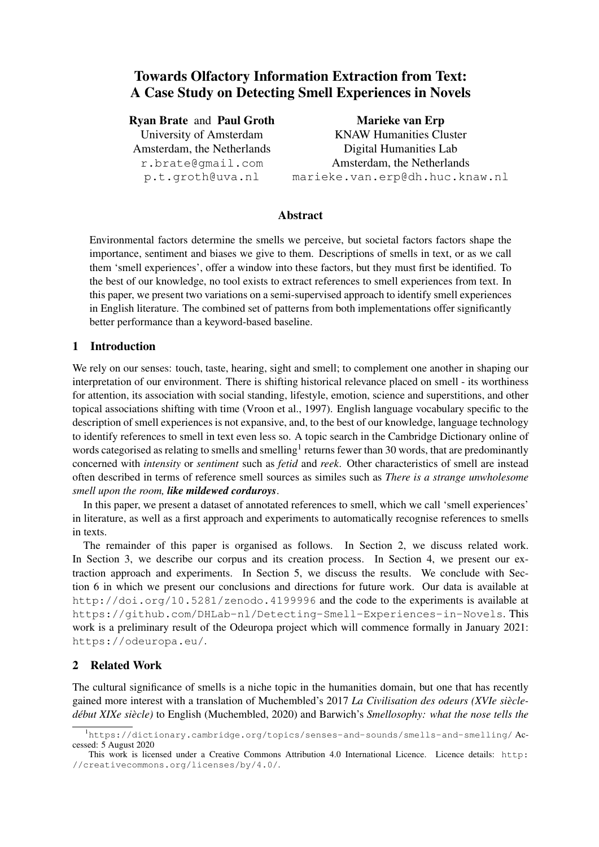# Towards Olfactory Information Extraction from Text: A Case Study on Detecting Smell Experiences in Novels

#### Ryan Brate and Paul Groth

University of Amsterdam Amsterdam, the Netherlands r.brate@gmail.com p.t.groth@uva.nl

Marieke van Erp KNAW Humanities Cluster Digital Humanities Lab Amsterdam, the Netherlands marieke.van.erp@dh.huc.knaw.nl

## Abstract

Environmental factors determine the smells we perceive, but societal factors factors shape the importance, sentiment and biases we give to them. Descriptions of smells in text, or as we call them 'smell experiences', offer a window into these factors, but they must first be identified. To the best of our knowledge, no tool exists to extract references to smell experiences from text. In this paper, we present two variations on a semi-supervised approach to identify smell experiences in English literature. The combined set of patterns from both implementations offer significantly better performance than a keyword-based baseline.

### 1 Introduction

We rely on our senses: touch, taste, hearing, sight and smell; to complement one another in shaping our interpretation of our environment. There is shifting historical relevance placed on smell - its worthiness for attention, its association with social standing, lifestyle, emotion, science and superstitions, and other topical associations shifting with time (Vroon et al., 1997). English language vocabulary specific to the description of smell experiences is not expansive, and, to the best of our knowledge, language technology to identify references to smell in text even less so. A topic search in the Cambridge Dictionary online of words categorised as relating to smells and smelling<sup>1</sup> returns fewer than 30 words, that are predominantly concerned with *intensity* or *sentiment* such as *fetid* and *reek*. Other characteristics of smell are instead often described in terms of reference smell sources as similes such as *There is a strange unwholesome smell upon the room, like mildewed corduroys*.

In this paper, we present a dataset of annotated references to smell, which we call 'smell experiences' in literature, as well as a first approach and experiments to automatically recognise references to smells in texts.

The remainder of this paper is organised as follows. In Section 2, we discuss related work. In Section 3, we describe our corpus and its creation process. In Section 4, we present our extraction approach and experiments. In Section 5, we discuss the results. We conclude with Section 6 in which we present our conclusions and directions for future work. Our data is available at http://doi.org/10.5281/zenodo.4199996 and the code to the experiments is available at https://github.com/DHLab-nl/Detecting-Smell-Experiences-in-Novels. This work is a preliminary result of the Odeuropa project which will commence formally in January 2021: https://odeuropa.eu/.

### 2 Related Work

The cultural significance of smells is a niche topic in the humanities domain, but one that has recently gained more interest with a translation of Muchembled's 2017 *La Civilisation des odeurs (XVIe siecle- ` debut XIXe si ´ ecle) `* to English (Muchembled, 2020) and Barwich's *Smellosophy: what the nose tells the*

<sup>&</sup>lt;sup>1</sup>https://dictionary.cambridge.org/topics/senses-and-sounds/smells-and-smelling/Accessed: 5 August 2020

This work is licensed under a Creative Commons Attribution 4.0 International Licence. Licence details: http: //creativecommons.org/licenses/by/4.0/.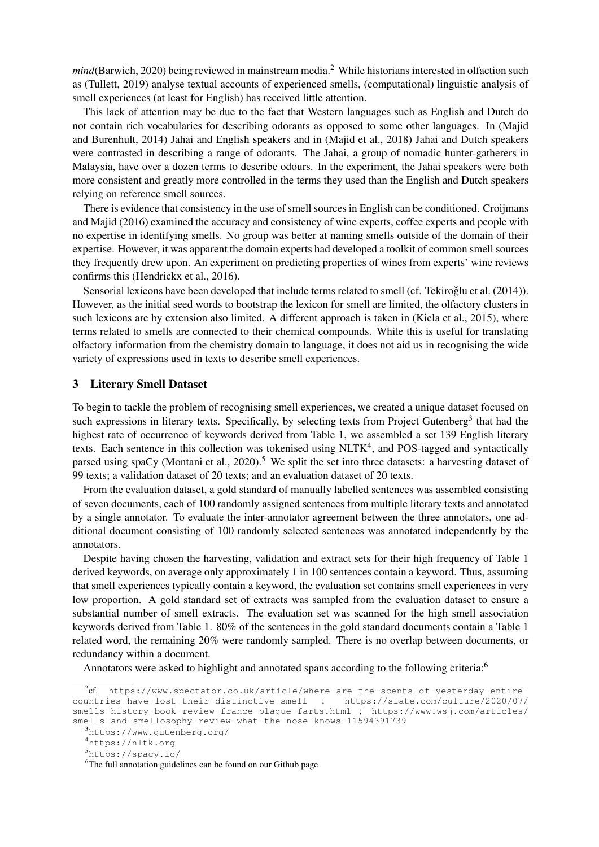*mind*(Barwich, 2020) being reviewed in mainstream media.<sup>2</sup> While historians interested in olfaction such as (Tullett, 2019) analyse textual accounts of experienced smells, (computational) linguistic analysis of smell experiences (at least for English) has received little attention.

This lack of attention may be due to the fact that Western languages such as English and Dutch do not contain rich vocabularies for describing odorants as opposed to some other languages. In (Majid and Burenhult, 2014) Jahai and English speakers and in (Majid et al., 2018) Jahai and Dutch speakers were contrasted in describing a range of odorants. The Jahai, a group of nomadic hunter-gatherers in Malaysia, have over a dozen terms to describe odours. In the experiment, the Jahai speakers were both more consistent and greatly more controlled in the terms they used than the English and Dutch speakers relying on reference smell sources.

There is evidence that consistency in the use of smell sources in English can be conditioned. Croijmans and Majid (2016) examined the accuracy and consistency of wine experts, coffee experts and people with no expertise in identifying smells. No group was better at naming smells outside of the domain of their expertise. However, it was apparent the domain experts had developed a toolkit of common smell sources they frequently drew upon. An experiment on predicting properties of wines from experts' wine reviews confirms this (Hendrickx et al., 2016).

Sensorial lexicons have been developed that include terms related to smell (cf. Tekiroğlu et al. (2014)). However, as the initial seed words to bootstrap the lexicon for smell are limited, the olfactory clusters in such lexicons are by extension also limited. A different approach is taken in (Kiela et al., 2015), where terms related to smells are connected to their chemical compounds. While this is useful for translating olfactory information from the chemistry domain to language, it does not aid us in recognising the wide variety of expressions used in texts to describe smell experiences.

#### 3 Literary Smell Dataset

To begin to tackle the problem of recognising smell experiences, we created a unique dataset focused on such expressions in literary texts. Specifically, by selecting texts from Project Gutenberg<sup>3</sup> that had the highest rate of occurrence of keywords derived from Table 1, we assembled a set 139 English literary texts. Each sentence in this collection was tokenised using NLTK<sup>4</sup>, and POS-tagged and syntactically parsed using spaCy (Montani et al., 2020).<sup>5</sup> We split the set into three datasets: a harvesting dataset of 99 texts; a validation dataset of 20 texts; and an evaluation dataset of 20 texts.

From the evaluation dataset, a gold standard of manually labelled sentences was assembled consisting of seven documents, each of 100 randomly assigned sentences from multiple literary texts and annotated by a single annotator. To evaluate the inter-annotator agreement between the three annotators, one additional document consisting of 100 randomly selected sentences was annotated independently by the annotators.

Despite having chosen the harvesting, validation and extract sets for their high frequency of Table 1 derived keywords, on average only approximately 1 in 100 sentences contain a keyword. Thus, assuming that smell experiences typically contain a keyword, the evaluation set contains smell experiences in very low proportion. A gold standard set of extracts was sampled from the evaluation dataset to ensure a substantial number of smell extracts. The evaluation set was scanned for the high smell association keywords derived from Table 1. 80% of the sentences in the gold standard documents contain a Table 1 related word, the remaining 20% were randomly sampled. There is no overlap between documents, or redundancy within a document.

Annotators were asked to highlight and annotated spans according to the following criteria:<sup>6</sup>

<sup>2</sup> cf. https://www.spectator.co.uk/article/where-are-the-scents-of-yesterday-entirecountries-have-lost-their-distinctive-smell ; https://slate.com/culture/2020/07/ smells-history-book-review-france-plague-farts.html ; https://www.wsj.com/articles/ smells-and-smellosophy-review-what-the-nose-knows-11594391739

<sup>3</sup>https://www.gutenberg.org/

<sup>4</sup>https://nltk.org

<sup>5</sup>https://spacy.io/

<sup>&</sup>lt;sup>6</sup>The full annotation guidelines can be found on our Github page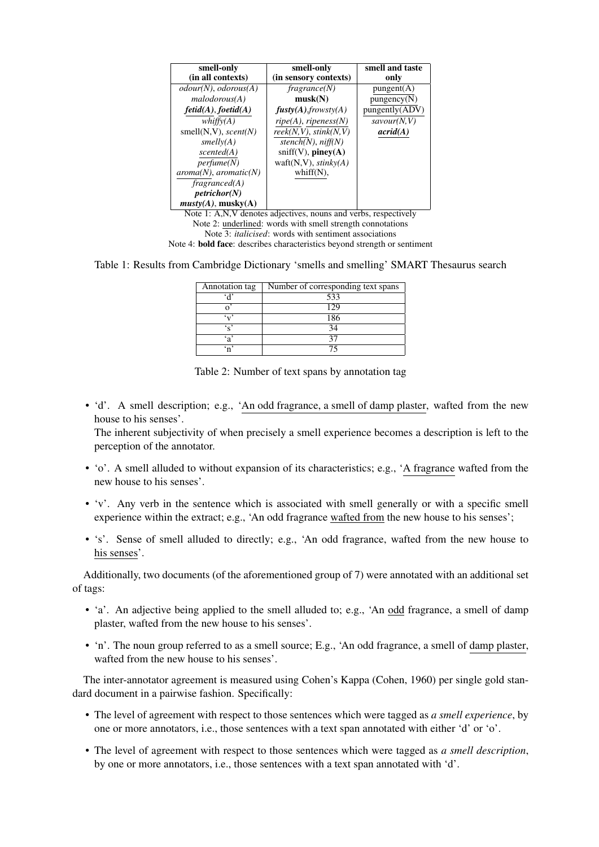| smell-only                   | smell-only              | smell and taste     |
|------------------------------|-------------------------|---------------------|
| (in all contexts)            | (in sensory contexts)   | only                |
| $odour(N)$ , $odorous(A)$    | fragrance(N)            | $p$ ungent $(A)$    |
| malodorous(A)                | musk(N)                 | pungency(N)         |
| $fetid(A)$ , $foetid(A)$     | fusty(A), frowsty(A)    | pungently (ADV)     |
| whiffv(A)                    | $ripe(A)$ , ripeness(N) | savour(N, V)        |
| smell $(N, V)$ , scent $(N)$ | reek(N, V), stink(N, V) | $\textit{acrid}(A)$ |
| smelly(A)                    | stench(N), niff(N)      |                     |
| scented(A)                   | $sniff(V)$ , piney(A)   |                     |
| perfume(N)                   | waft(N,V), $stinkv(A)$  |                     |
| $aroma(N)$ , $aromatic(N)$   | whiff $(N)$ ,           |                     |
| fragmented(A)                |                         |                     |
| petrichor(N)                 |                         |                     |
| musty(A), musty(A)           |                         | $\sim$              |

Note 1: A,N,V denotes adjectives, nouns and verbs, respectively Note 2: underlined: words with smell strength connotations Note 3: *italicised*: words with sentiment associations Note 4: bold face: describes characteristics beyond strength or sentiment

Table 1: Results from Cambridge Dictionary 'smells and smelling' SMART Thesaurus search

| Annotation tag  | Number of corresponding text spans |  |  |
|-----------------|------------------------------------|--|--|
|                 | 533                                |  |  |
|                 | 129                                |  |  |
|                 | 186                                |  |  |
| $\cdot$ $\cdot$ | 34                                 |  |  |
| ۰, °            |                                    |  |  |
|                 |                                    |  |  |

Table 2: Number of text spans by annotation tag

• 'd'. A smell description; e.g., 'An odd fragrance, a smell of damp plaster, wafted from the new house to his senses'.

The inherent subjectivity of when precisely a smell experience becomes a description is left to the perception of the annotator.

- 'o'. A smell alluded to without expansion of its characteristics; e.g., 'A fragrance wafted from the new house to his senses'.
- 'v'. Any verb in the sentence which is associated with smell generally or with a specific smell experience within the extract; e.g., 'An odd fragrance wafted from the new house to his senses';
- 's'. Sense of smell alluded to directly; e.g., 'An odd fragrance, wafted from the new house to his senses'.

Additionally, two documents (of the aforementioned group of 7) were annotated with an additional set of tags:

- 'a'. An adjective being applied to the smell alluded to; e.g., 'An odd fragrance, a smell of damp plaster, wafted from the new house to his senses'.
- 'n'. The noun group referred to as a smell source; E.g., 'An odd fragrance, a smell of damp plaster, wafted from the new house to his senses'.

The inter-annotator agreement is measured using Cohen's Kappa (Cohen, 1960) per single gold standard document in a pairwise fashion. Specifically:

- The level of agreement with respect to those sentences which were tagged as *a smell experience*, by one or more annotators, i.e., those sentences with a text span annotated with either 'd' or 'o'.
- The level of agreement with respect to those sentences which were tagged as *a smell description*, by one or more annotators, i.e., those sentences with a text span annotated with 'd'.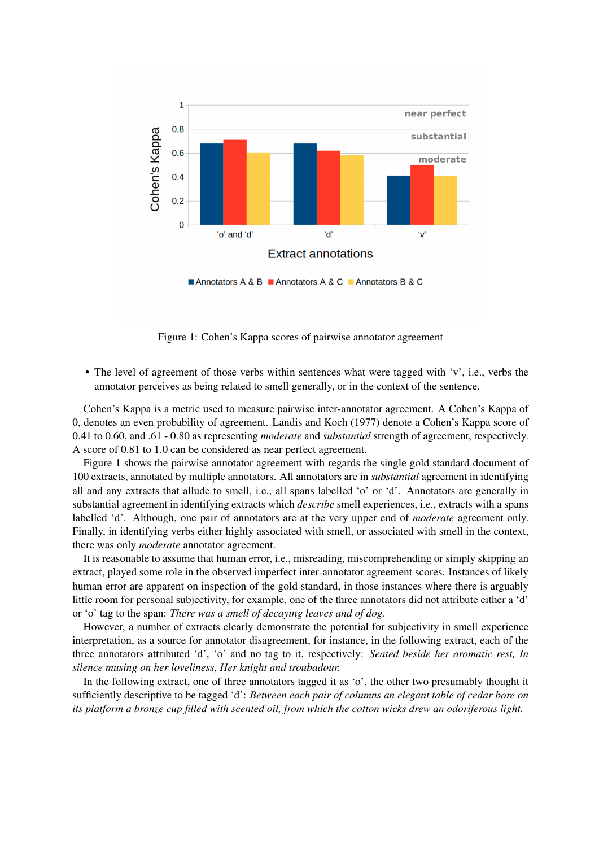

Figure 1: Cohen's Kappa scores of pairwise annotator agreement

• The level of agreement of those verbs within sentences what were tagged with 'v', i.e., verbs the annotator perceives as being related to smell generally, or in the context of the sentence.

Cohen's Kappa is a metric used to measure pairwise inter-annotator agreement. A Cohen's Kappa of 0, denotes an even probability of agreement. Landis and Koch (1977) denote a Cohen's Kappa score of 0.41 to 0.60, and .61 - 0.80 as representing *moderate* and *substantial* strength of agreement, respectively. A score of 0.81 to 1.0 can be considered as near perfect agreement.

Figure 1 shows the pairwise annotator agreement with regards the single gold standard document of 100 extracts, annotated by multiple annotators. All annotators are in *substantial* agreement in identifying all and any extracts that allude to smell, i.e., all spans labelled 'o' or 'd'. Annotators are generally in substantial agreement in identifying extracts which *describe* smell experiences, i.e., extracts with a spans labelled 'd'. Although, one pair of annotators are at the very upper end of *moderate* agreement only. Finally, in identifying verbs either highly associated with smell, or associated with smell in the context, there was only *moderate* annotator agreement.

It is reasonable to assume that human error, i.e., misreading, miscomprehending or simply skipping an extract, played some role in the observed imperfect inter-annotator agreement scores. Instances of likely human error are apparent on inspection of the gold standard, in those instances where there is arguably little room for personal subjectivity, for example, one of the three annotators did not attribute either a 'd' or 'o' tag to the span: *There was a smell of decaying leaves and of dog.*

However, a number of extracts clearly demonstrate the potential for subjectivity in smell experience interpretation, as a source for annotator disagreement, for instance, in the following extract, each of the three annotators attributed 'd', 'o' and no tag to it, respectively: *Seated beside her aromatic rest, In silence musing on her loveliness, Her knight and troubadour.*

In the following extract, one of three annotators tagged it as 'o', the other two presumably thought it sufficiently descriptive to be tagged 'd': *Between each pair of columns an elegant table of cedar bore on its platform a bronze cup filled with scented oil, from which the cotton wicks drew an odoriferous light.*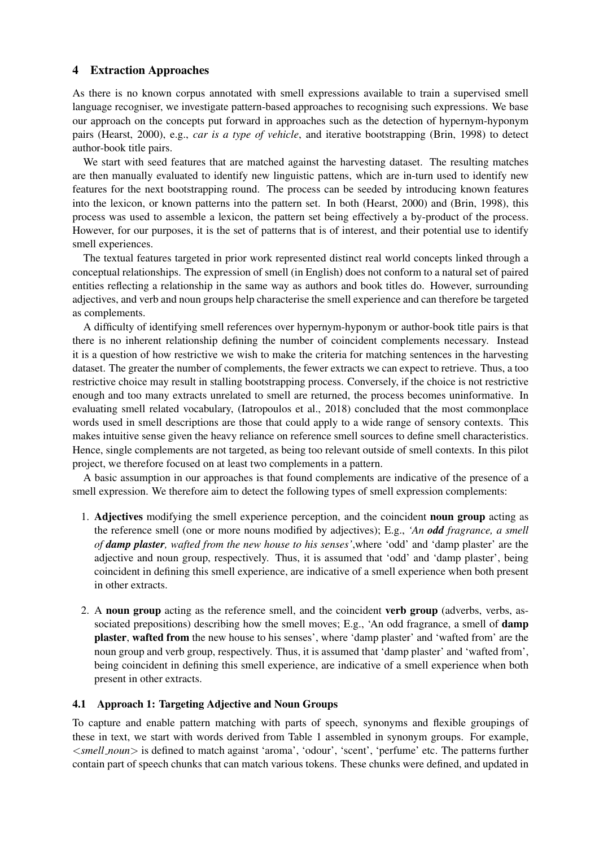# 4 Extraction Approaches

As there is no known corpus annotated with smell expressions available to train a supervised smell language recogniser, we investigate pattern-based approaches to recognising such expressions. We base our approach on the concepts put forward in approaches such as the detection of hypernym-hyponym pairs (Hearst, 2000), e.g., *car is a type of vehicle*, and iterative bootstrapping (Brin, 1998) to detect author-book title pairs.

We start with seed features that are matched against the harvesting dataset. The resulting matches are then manually evaluated to identify new linguistic pattens, which are in-turn used to identify new features for the next bootstrapping round. The process can be seeded by introducing known features into the lexicon, or known patterns into the pattern set. In both (Hearst, 2000) and (Brin, 1998), this process was used to assemble a lexicon, the pattern set being effectively a by-product of the process. However, for our purposes, it is the set of patterns that is of interest, and their potential use to identify smell experiences.

The textual features targeted in prior work represented distinct real world concepts linked through a conceptual relationships. The expression of smell (in English) does not conform to a natural set of paired entities reflecting a relationship in the same way as authors and book titles do. However, surrounding adjectives, and verb and noun groups help characterise the smell experience and can therefore be targeted as complements.

A difficulty of identifying smell references over hypernym-hyponym or author-book title pairs is that there is no inherent relationship defining the number of coincident complements necessary. Instead it is a question of how restrictive we wish to make the criteria for matching sentences in the harvesting dataset. The greater the number of complements, the fewer extracts we can expect to retrieve. Thus, a too restrictive choice may result in stalling bootstrapping process. Conversely, if the choice is not restrictive enough and too many extracts unrelated to smell are returned, the process becomes uninformative. In evaluating smell related vocabulary, (Iatropoulos et al., 2018) concluded that the most commonplace words used in smell descriptions are those that could apply to a wide range of sensory contexts. This makes intuitive sense given the heavy reliance on reference smell sources to define smell characteristics. Hence, single complements are not targeted, as being too relevant outside of smell contexts. In this pilot project, we therefore focused on at least two complements in a pattern.

A basic assumption in our approaches is that found complements are indicative of the presence of a smell expression. We therefore aim to detect the following types of smell expression complements:

- 1. Adjectives modifying the smell experience perception, and the coincident noun group acting as the reference smell (one or more nouns modified by adjectives); E.g., *'An odd fragrance, a smell of damp plaster, wafted from the new house to his senses'*,where 'odd' and 'damp plaster' are the adjective and noun group, respectively. Thus, it is assumed that 'odd' and 'damp plaster', being coincident in defining this smell experience, are indicative of a smell experience when both present in other extracts.
- 2. A noun group acting as the reference smell, and the coincident verb group (adverbs, verbs, associated prepositions) describing how the smell moves; E.g., 'An odd fragrance, a smell of **damp** plaster, wafted from the new house to his senses', where 'damp plaster' and 'wafted from' are the noun group and verb group, respectively. Thus, it is assumed that 'damp plaster' and 'wafted from', being coincident in defining this smell experience, are indicative of a smell experience when both present in other extracts.

### 4.1 Approach 1: Targeting Adjective and Noun Groups

To capture and enable pattern matching with parts of speech, synonyms and flexible groupings of these in text, we start with words derived from Table 1 assembled in synonym groups. For example, <*smell noun*> is defined to match against 'aroma', 'odour', 'scent', 'perfume' etc. The patterns further contain part of speech chunks that can match various tokens. These chunks were defined, and updated in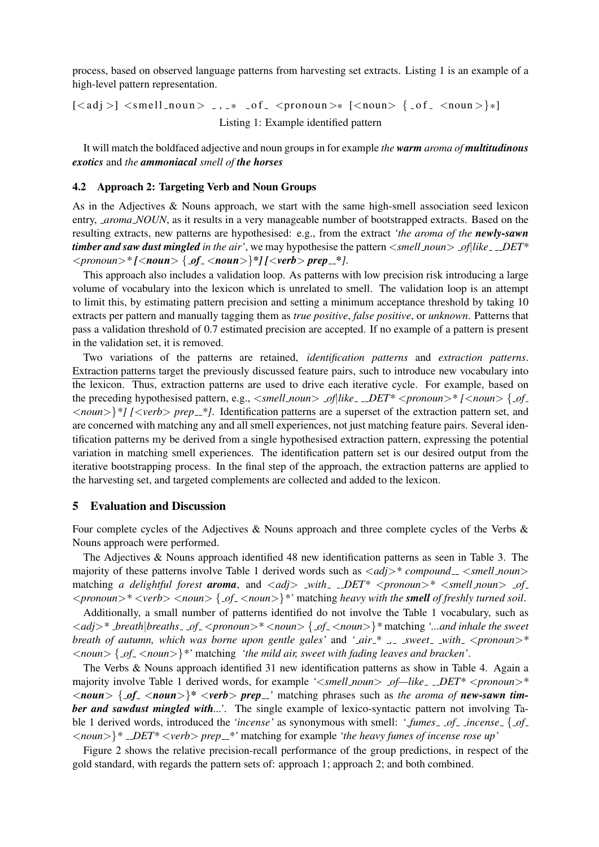process, based on observed language patterns from harvesting set extracts. Listing 1 is an example of a high-level pattern representation.

 $\lceil \langle \text{adj} \rangle \rceil \langle \text{small}_n \text{oun} \rangle$   $\ldots$  \*  $\lceil \text{of} \rangle$   $\langle \text{ground} \rangle$   $\lceil \langle \text{noun} \rangle \rceil$   $\{ \text{of} \rangle \langle \text{noun} \rangle \}$ Listing 1: Example identified pattern

It will match the boldfaced adjective and noun groups in for example *the warm aroma of multitudinous exotics* and *the ammoniacal smell of the horses*

#### 4.2 Approach 2: Targeting Verb and Noun Groups

As in the Adjectives & Nouns approach, we start with the same high-smell association seed lexicon entry, *aroma NOUN*, as it results in a very manageable number of bootstrapped extracts. Based on the resulting extracts, new patterns are hypothesised: e.g., from the extract *'the aroma of the newly-sawn timber and saw dust mingled in the air'*, we may hypothesise the pattern <*smell\_noun> \_of*|like\_\_DET\* <*pronoun*>*\* [*<*noun*> { *of* <*noun*>}*\*] [*<*verb*> *prep \*]*.

This approach also includes a validation loop. As patterns with low precision risk introducing a large volume of vocabulary into the lexicon which is unrelated to smell. The validation loop is an attempt to limit this, by estimating pattern precision and setting a minimum acceptance threshold by taking 10 extracts per pattern and manually tagging them as *true positive*, *false positive*, or *unknown*. Patterns that pass a validation threshold of 0.7 estimated precision are accepted. If no example of a pattern is present in the validation set, it is removed.

Two variations of the patterns are retained, *identification patterns* and *extraction patterns*. Extraction patterns target the previously discussed feature pairs, such to introduce new vocabulary into the lexicon. Thus, extraction patterns are used to drive each iterative cycle. For example, based on the preceding hypothesised pattern, e.g.,  $\langle \textit{small_noun} \rangle$  *\_of*|like\_ \_DET\*  $\langle \textit{pronoun} \rangle$  \*  $\langle \textit{column} \rangle$  {  $\varphi f$ <*noun*>}*\*] [*<*verb*> *prep \*]*. Identification patterns are a superset of the extraction pattern set, and are concerned with matching any and all smell experiences, not just matching feature pairs. Several identification patterns my be derived from a single hypothesised extraction pattern, expressing the potential variation in matching smell experiences. The identification pattern set is our desired output from the iterative bootstrapping process. In the final step of the approach, the extraction patterns are applied to the harvesting set, and targeted complements are collected and added to the lexicon.

#### 5 Evaluation and Discussion

Four complete cycles of the Adjectives & Nouns approach and three complete cycles of the Verbs & Nouns approach were performed.

The Adjectives & Nouns approach identified 48 new identification patterns as seen in Table 3. The majority of these patterns involve Table 1 derived words such as  $\langle add \rangle^* compound \rangle$  *smell noun* matching *a delightful forest aroma*, and <*adj*> *with DET\** <*pronoun*>*\** <*smell noun*> *of* <*pronoun*>*\** <*verb*> <*noun*> { *of* <*noun*>}*\*'* matching *heavy with the smell of freshly turned soil*.

Additionally, a small number of patterns identified do not involve the Table 1 vocabulary, such as <*adj*>*\* breath*|*breaths of* <*pronoun*>*\** <*noun*> { *of* <*noun*>}*\** matching *'...and inhale the sweet breath of autumn, which was borne upon gentle gales'* and *' air \* , sweet with* <*pronoun*>*\** <*noun*> { *of* <*noun*>}*\*'* matching *'the mild air, sweet with fading leaves and bracken'*.

The Verbs & Nouns approach identified 31 new identification patterns as show in Table 4. Again a majority involve Table 1 derived words, for example ' $\leq$ smell\_noun > \_of—like\_\_DET\*  $\leq$ pronoun > \*  $\langle$ *noun*  $\{$  *of*<sub>-</sub> $\langle$ *noun* $>$  $\}$ <sup>\*</sup> $\langle$ *verb* $>$ *prep*<sub>-</sub> $\}'$  matching phrases such as *the aroma of new-sawn timber and sawdust mingled with...'*. The single example of lexico-syntactic pattern not involving Table 1 derived words, introduced the *'incense'* as synonymous with smell: *' fumes of incense* { *of*  $\langle$  *noun*  $>\rangle$ <sup>\*</sup> *\_DET*\*  $\langle$ *verb*  $>$  *prep*  $\angle$ <sup>\*</sup>' matching for example *'the heavy fumes of incense rose up'* 

Figure 2 shows the relative precision-recall performance of the group predictions, in respect of the gold standard, with regards the pattern sets of: approach 1; approach 2; and both combined.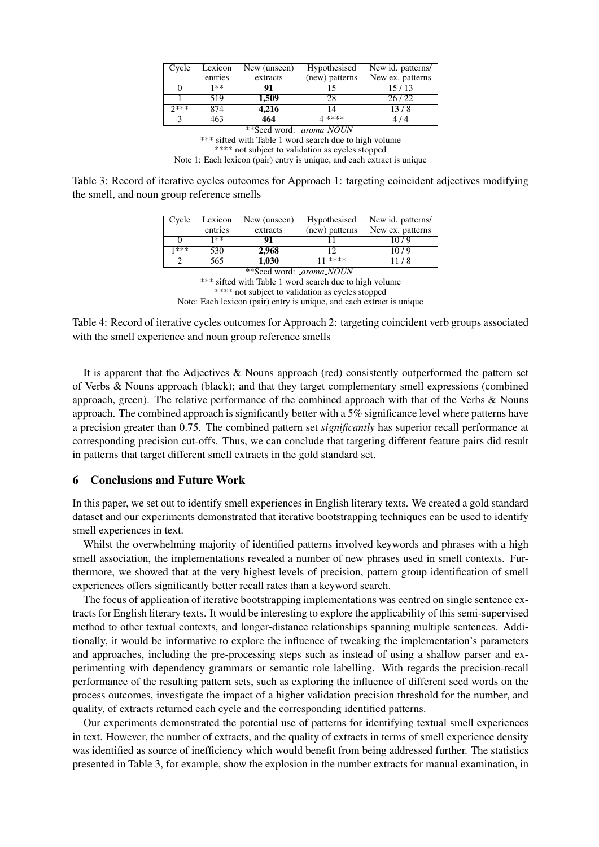| Cycle | Lexicon | New (unseen) | Hypothesised   | New id. patterns/ |
|-------|---------|--------------|----------------|-------------------|
|       | entries | extracts     | (new) patterns | New ex. patterns  |
|       | 1**     | 91           |                | 15/13             |
|       | 519     | 1,509        | 28             | 26/22             |
| つ***  | 874     | 4,216        |                | 13/8              |
| 2     | 463     | 464          | 4 ****         | 414               |

\*\*Seed word: *aroma NOUN* \*\*\* sifted with Table 1 word search due to high volume \*\*\*\* not subject to validation as cycles stopped Note 1: Each lexicon (pair) entry is unique, and each extract is unique

Table 3: Record of iterative cycles outcomes for Approach 1: targeting coincident adjectives modifying the smell, and noun group reference smells

| Cycle                          | Lexicon | New (unseen) | Hypothesised   | New id. patterns/ |  |
|--------------------------------|---------|--------------|----------------|-------------------|--|
|                                | entries | extracts     | (new) patterns | New ex. patterns  |  |
|                                | 1**     | 91           |                | 10/9              |  |
| 1***                           | 530     | 2,968        | 12             | 10/9              |  |
|                                | 565     | 1.030        | ****           | 11/8              |  |
| **Seed word: <i>aroma NOUN</i> |         |              |                |                   |  |

\*\*\* sifted with Table 1 word search due to high volume \*\*\*\* not subject to validation as cycles stopped Note: Each lexicon (pair) entry is unique, and each extract is unique

Table 4: Record of iterative cycles outcomes for Approach 2: targeting coincident verb groups associated with the smell experience and noun group reference smells

It is apparent that the Adjectives & Nouns approach (red) consistently outperformed the pattern set of Verbs & Nouns approach (black); and that they target complementary smell expressions (combined approach, green). The relative performance of the combined approach with that of the Verbs & Nouns approach. The combined approach is significantly better with a 5% significance level where patterns have a precision greater than 0.75. The combined pattern set *significantly* has superior recall performance at corresponding precision cut-offs. Thus, we can conclude that targeting different feature pairs did result in patterns that target different smell extracts in the gold standard set.

### 6 Conclusions and Future Work

In this paper, we set out to identify smell experiences in English literary texts. We created a gold standard dataset and our experiments demonstrated that iterative bootstrapping techniques can be used to identify smell experiences in text.

Whilst the overwhelming majority of identified patterns involved keywords and phrases with a high smell association, the implementations revealed a number of new phrases used in smell contexts. Furthermore, we showed that at the very highest levels of precision, pattern group identification of smell experiences offers significantly better recall rates than a keyword search.

The focus of application of iterative bootstrapping implementations was centred on single sentence extracts for English literary texts. It would be interesting to explore the applicability of this semi-supervised method to other textual contexts, and longer-distance relationships spanning multiple sentences. Additionally, it would be informative to explore the influence of tweaking the implementation's parameters and approaches, including the pre-processing steps such as instead of using a shallow parser and experimenting with dependency grammars or semantic role labelling. With regards the precision-recall performance of the resulting pattern sets, such as exploring the influence of different seed words on the process outcomes, investigate the impact of a higher validation precision threshold for the number, and quality, of extracts returned each cycle and the corresponding identified patterns.

Our experiments demonstrated the potential use of patterns for identifying textual smell experiences in text. However, the number of extracts, and the quality of extracts in terms of smell experience density was identified as source of inefficiency which would benefit from being addressed further. The statistics presented in Table 3, for example, show the explosion in the number extracts for manual examination, in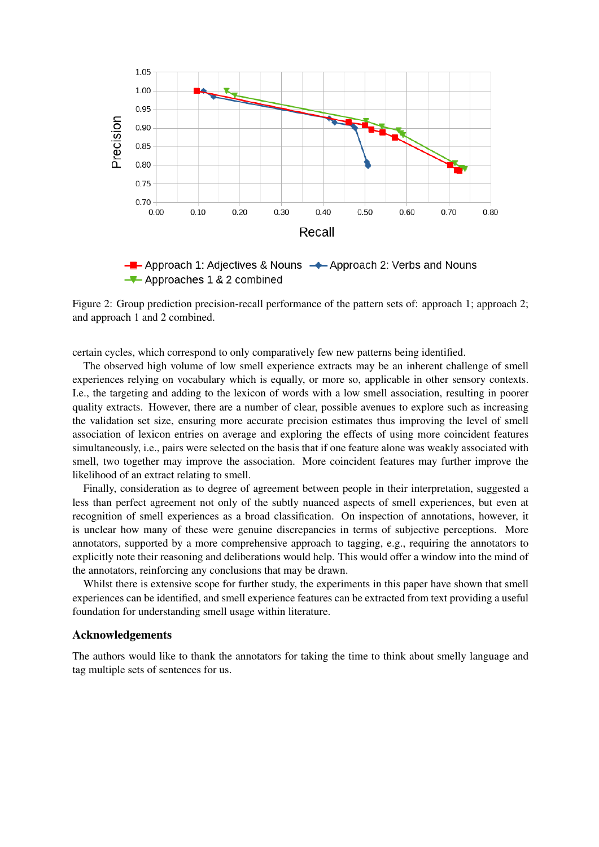

 $-\blacksquare$  Approach 1: Adjectives & Nouns  $\rightarrow$  Approach 2: Verbs and Nouns  $\rightarrow$  Approaches 1 & 2 combined

Figure 2: Group prediction precision-recall performance of the pattern sets of: approach 1; approach 2; and approach 1 and 2 combined.

certain cycles, which correspond to only comparatively few new patterns being identified.

The observed high volume of low smell experience extracts may be an inherent challenge of smell experiences relying on vocabulary which is equally, or more so, applicable in other sensory contexts. I.e., the targeting and adding to the lexicon of words with a low smell association, resulting in poorer quality extracts. However, there are a number of clear, possible avenues to explore such as increasing the validation set size, ensuring more accurate precision estimates thus improving the level of smell association of lexicon entries on average and exploring the effects of using more coincident features simultaneously, i.e., pairs were selected on the basis that if one feature alone was weakly associated with smell, two together may improve the association. More coincident features may further improve the likelihood of an extract relating to smell.

Finally, consideration as to degree of agreement between people in their interpretation, suggested a less than perfect agreement not only of the subtly nuanced aspects of smell experiences, but even at recognition of smell experiences as a broad classification. On inspection of annotations, however, it is unclear how many of these were genuine discrepancies in terms of subjective perceptions. More annotators, supported by a more comprehensive approach to tagging, e.g., requiring the annotators to explicitly note their reasoning and deliberations would help. This would offer a window into the mind of the annotators, reinforcing any conclusions that may be drawn.

Whilst there is extensive scope for further study, the experiments in this paper have shown that smell experiences can be identified, and smell experience features can be extracted from text providing a useful foundation for understanding smell usage within literature.

#### Acknowledgements

The authors would like to thank the annotators for taking the time to think about smelly language and tag multiple sets of sentences for us.